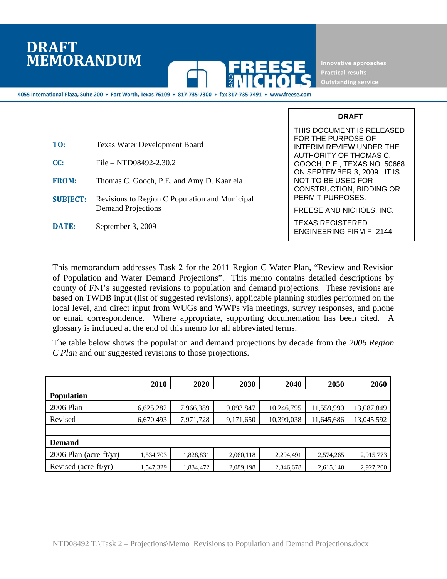# **DRAFT MEMORANDUM**



Innovative approaches **Outstanding service** 

**DRAFT** 

4055 International Plaza, Suite 200 · Fort Worth, Texas 76109 · 817-735-7300 · fax 817-735-7491 · www.freese.com

|                 |                                                | THIS DOCUMENT IS RELEASED                                                            |
|-----------------|------------------------------------------------|--------------------------------------------------------------------------------------|
| TO:             | <b>Texas Water Development Board</b>           | FOR THE PURPOSE OF<br><b>INTERIM REVIEW UNDER THE</b><br>AUTHORITY OF THOMAS C.      |
| CC:             | $File - NTD08492-2.30.2$                       | GOOCH, P.E., TEXAS NO. 50668                                                         |
| <b>FROM:</b>    | Thomas C. Gooch, P.E. and Amy D. Kaarlela      | ON SEPTEMBER 3, 2009. IT IS<br>NOT TO BE USED FOR<br><b>CONSTRUCTION, BIDDING OR</b> |
| <b>SUBJECT:</b> | Revisions to Region C Population and Municipal | PERMIT PURPOSES.                                                                     |
|                 | <b>Demand Projections</b>                      | FREESE AND NICHOLS, INC.                                                             |
| DATE:           | September 3, 2009                              | <b>TEXAS REGISTERED</b><br><b>ENGINEERING FIRM F-2144</b>                            |

This memorandum addresses Task 2 for the 2011 Region C Water Plan, "Review and Revision of Population and Water Demand Projections". This memo contains detailed descriptions by county of FNI's suggested revisions to population and demand projections. These revisions are based on TWDB input (list of suggested revisions), applicable planning studies performed on the local level, and direct input from WUGs and WWPs via meetings, survey responses, and phone or email correspondence. Where appropriate, supporting documentation has been cited. A glossary is included at the end of this memo for all abbreviated terms.

The table below shows the population and demand projections by decade from the *2006 Region C Plan* and our suggested revisions to those projections.

|                          | 2010      | 2020      | 2030      | 2040       | 2050       | 2060       |
|--------------------------|-----------|-----------|-----------|------------|------------|------------|
| <b>Population</b>        |           |           |           |            |            |            |
| 2006 Plan                | 6,625,282 | 7,966,389 | 9,093,847 | 10,246,795 | 11,559,990 | 13,087,849 |
| Revised                  | 6,670,493 | 7,971,728 | 9,171,650 | 10,399,038 | 11,645,686 | 13,045,592 |
|                          |           |           |           |            |            |            |
| <b>Demand</b>            |           |           |           |            |            |            |
| $2006$ Plan (acre-ft/yr) | 1,534,703 | 1,828,831 | 2,060,118 | 2,294,491  | 2,574,265  | 2,915,773  |
| Revised (acre-ft/yr)     | 1,547,329 | 1,834,472 | 2,089,198 | 2,346,678  | 2,615,140  | 2,927,200  |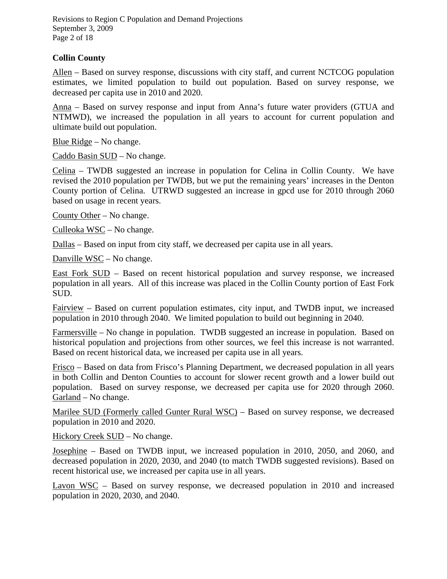Revisions to Region C Population and Demand Projections September 3, 2009 Page 2 of 18

## **Collin County**

Allen – Based on survey response, discussions with city staff, and current NCTCOG population estimates, we limited population to build out population. Based on survey response, we decreased per capita use in 2010 and 2020.

Anna – Based on survey response and input from Anna's future water providers (GTUA and NTMWD), we increased the population in all years to account for current population and ultimate build out population.

Blue Ridge – No change.

Caddo Basin SUD – No change.

Celina – TWDB suggested an increase in population for Celina in Collin County. We have revised the 2010 population per TWDB, but we put the remaining years' increases in the Denton County portion of Celina. UTRWD suggested an increase in gpcd use for 2010 through 2060 based on usage in recent years.

County Other – No change.

Culleoka WSC – No change.

Dallas – Based on input from city staff, we decreased per capita use in all years.

Danville WSC – No change.

East Fork SUD – Based on recent historical population and survey response, we increased population in all years. All of this increase was placed in the Collin County portion of East Fork SUD.

Fairview – Based on current population estimates, city input, and TWDB input, we increased population in 2010 through 2040. We limited population to build out beginning in 2040.

Farmersville – No change in population. TWDB suggested an increase in population. Based on historical population and projections from other sources, we feel this increase is not warranted. Based on recent historical data, we increased per capita use in all years.

Frisco – Based on data from Frisco's Planning Department, we decreased population in all years in both Collin and Denton Counties to account for slower recent growth and a lower build out population. Based on survey response, we decreased per capita use for 2020 through 2060. Garland – No change.

Marilee SUD (Formerly called Gunter Rural WSC) – Based on survey response, we decreased population in 2010 and 2020.

Hickory Creek SUD – No change.

Josephine – Based on TWDB input, we increased population in 2010, 2050, and 2060, and decreased population in 2020, 2030, and 2040 (to match TWDB suggested revisions). Based on recent historical use, we increased per capita use in all years.

Lavon WSC – Based on survey response, we decreased population in 2010 and increased population in 2020, 2030, and 2040.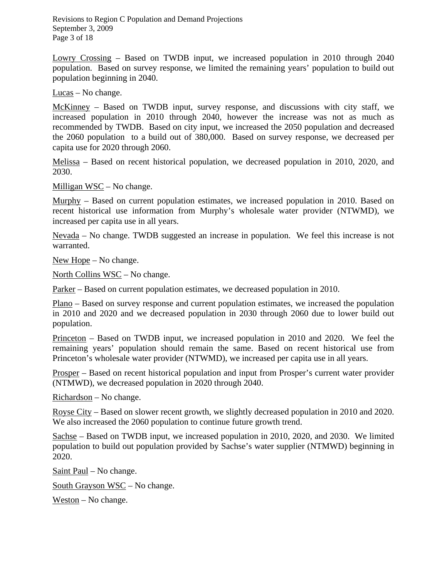Revisions to Region C Population and Demand Projections September 3, 2009 Page 3 of 18

Lowry Crossing – Based on TWDB input, we increased population in 2010 through 2040 population. Based on survey response, we limited the remaining years' population to build out population beginning in 2040.

Lucas – No change.

McKinney – Based on TWDB input, survey response, and discussions with city staff, we increased population in 2010 through 2040, however the increase was not as much as recommended by TWDB. Based on city input, we increased the 2050 population and decreased the 2060 population to a build out of 380,000. Based on survey response, we decreased per capita use for 2020 through 2060.

Melissa – Based on recent historical population, we decreased population in 2010, 2020, and 2030.

Milligan WSC – No change.

Murphy – Based on current population estimates, we increased population in 2010. Based on recent historical use information from Murphy's wholesale water provider (NTWMD), we increased per capita use in all years.

Nevada – No change. TWDB suggested an increase in population. We feel this increase is not warranted.

New Hope – No change.

North Collins WSC – No change.

Parker – Based on current population estimates, we decreased population in 2010.

Plano – Based on survey response and current population estimates, we increased the population in 2010 and 2020 and we decreased population in 2030 through 2060 due to lower build out population.

Princeton – Based on TWDB input, we increased population in 2010 and 2020. We feel the remaining years' population should remain the same. Based on recent historical use from Princeton's wholesale water provider (NTWMD), we increased per capita use in all years.

Prosper – Based on recent historical population and input from Prosper's current water provider (NTMWD), we decreased population in 2020 through 2040.

Richardson – No change.

Royse City – Based on slower recent growth, we slightly decreased population in 2010 and 2020. We also increased the 2060 population to continue future growth trend.

Sachse – Based on TWDB input, we increased population in 2010, 2020, and 2030. We limited population to build out population provided by Sachse's water supplier (NTMWD) beginning in 2020.

Saint Paul – No change.

South Grayson WSC – No change.

Weston – No change.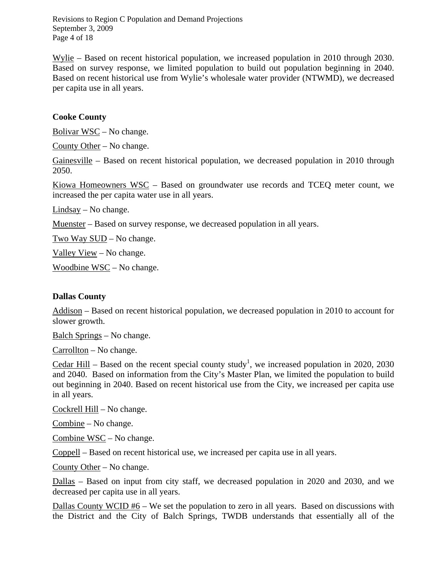Revisions to Region C Population and Demand Projections September 3, 2009 Page 4 of 18

Wylie – Based on recent historical population, we increased population in 2010 through 2030. Based on survey response, we limited population to build out population beginning in 2040. Based on recent historical use from Wylie's wholesale water provider (NTWMD), we decreased per capita use in all years.

#### **Cooke County**

Bolivar WSC – No change.

County Other – No change.

Gainesville – Based on recent historical population, we decreased population in 2010 through 2050.

Kiowa Homeowners WSC – Based on groundwater use records and TCEQ meter count, we increased the per capita water use in all years.

Lindsay – No change.

Muenster – Based on survey response, we decreased population in all years.

Two Way SUD – No change.

Valley View – No change.

Woodbine WSC – No change.

#### **Dallas County**

Addison – Based on recent historical population, we decreased population in 2010 to account for slower growth.

Balch Springs – No change.

Carrollton – No change.

Cedar Hill – Based on the recent special county study<sup>1</sup>, we increased population in 2020, 2030 and 2040. Based on information from the City's Master Plan, we limited the population to build out beginning in 2040. Based on recent historical use from the City, we increased per capita use in all years.

Cockrell Hill – No change.

Combine – No change.

Combine WSC – No change.

Coppell – Based on recent historical use, we increased per capita use in all years.

County Other – No change.

Dallas – Based on input from city staff, we decreased population in 2020 and 2030, and we decreased per capita use in all years.

Dallas County WCID #6 – We set the population to zero in all years. Based on discussions with the District and the City of Balch Springs, TWDB understands that essentially all of the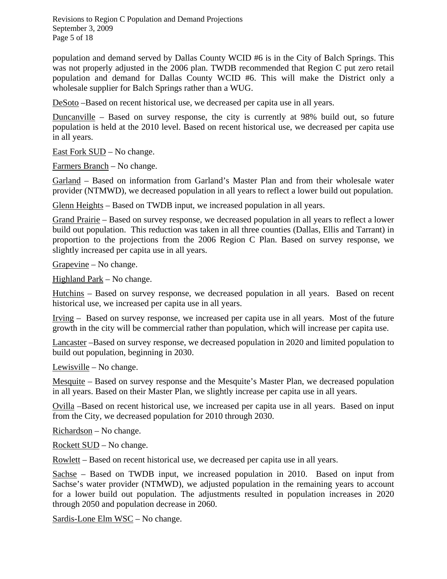Revisions to Region C Population and Demand Projections September 3, 2009 Page 5 of 18

population and demand served by Dallas County WCID #6 is in the City of Balch Springs. This was not properly adjusted in the 2006 plan. TWDB recommended that Region C put zero retail population and demand for Dallas County WCID #6. This will make the District only a wholesale supplier for Balch Springs rather than a WUG.

DeSoto –Based on recent historical use, we decreased per capita use in all years.

Duncanville – Based on survey response, the city is currently at 98% build out, so future population is held at the 2010 level. Based on recent historical use, we decreased per capita use in all years.

East Fork SUD – No change.

Farmers Branch – No change.

Garland – Based on information from Garland's Master Plan and from their wholesale water provider (NTMWD), we decreased population in all years to reflect a lower build out population.

Glenn Heights – Based on TWDB input, we increased population in all years.

Grand Prairie – Based on survey response, we decreased population in all years to reflect a lower build out population. This reduction was taken in all three counties (Dallas, Ellis and Tarrant) in proportion to the projections from the 2006 Region C Plan. Based on survey response, we slightly increased per capita use in all years.

Grapevine – No change.

Highland Park – No change.

Hutchins – Based on survey response, we decreased population in all years. Based on recent historical use, we increased per capita use in all years.

Irving – Based on survey response, we increased per capita use in all years. Most of the future growth in the city will be commercial rather than population, which will increase per capita use.

Lancaster –Based on survey response, we decreased population in 2020 and limited population to build out population, beginning in 2030.

Lewisville – No change.

Mesquite – Based on survey response and the Mesquite's Master Plan, we decreased population in all years. Based on their Master Plan, we slightly increase per capita use in all years.

Ovilla –Based on recent historical use, we increased per capita use in all years. Based on input from the City, we decreased population for 2010 through 2030.

Richardson – No change.

Rockett SUD – No change.

Rowlett – Based on recent historical use, we decreased per capita use in all years.

Sachse – Based on TWDB input, we increased population in 2010. Based on input from Sachse's water provider (NTMWD), we adjusted population in the remaining years to account for a lower build out population. The adjustments resulted in population increases in 2020 through 2050 and population decrease in 2060.

Sardis-Lone Elm WSC – No change.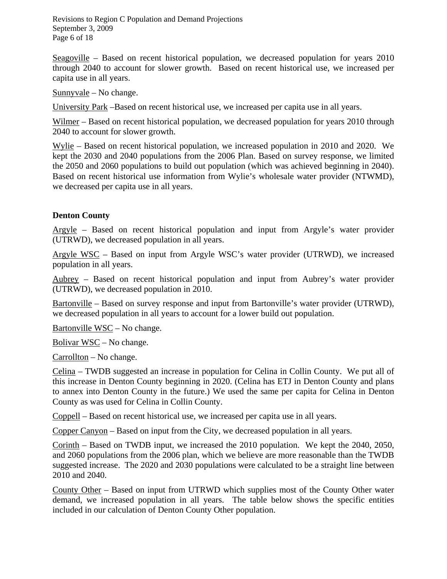Revisions to Region C Population and Demand Projections September 3, 2009 Page 6 of 18

Seagoville – Based on recent historical population, we decreased population for years 2010 through 2040 to account for slower growth. Based on recent historical use, we increased per capita use in all years.

Sunnyvale – No change.

University Park –Based on recent historical use, we increased per capita use in all years.

Wilmer – Based on recent historical population, we decreased population for years 2010 through 2040 to account for slower growth.

Wylie – Based on recent historical population, we increased population in 2010 and 2020. We kept the 2030 and 2040 populations from the 2006 Plan. Based on survey response, we limited the 2050 and 2060 populations to build out population (which was achieved beginning in 2040). Based on recent historical use information from Wylie's wholesale water provider (NTWMD), we decreased per capita use in all years.

## **Denton County**

Argyle – Based on recent historical population and input from Argyle's water provider (UTRWD), we decreased population in all years.

Argyle WSC – Based on input from Argyle WSC's water provider (UTRWD), we increased population in all years.

Aubrey – Based on recent historical population and input from Aubrey's water provider (UTRWD), we decreased population in 2010.

Bartonville – Based on survey response and input from Bartonville's water provider (UTRWD), we decreased population in all years to account for a lower build out population.

Bartonville WSC – No change.

Bolivar WSC – No change.

Carrollton – No change.

Celina – TWDB suggested an increase in population for Celina in Collin County. We put all of this increase in Denton County beginning in 2020. (Celina has ETJ in Denton County and plans to annex into Denton County in the future.) We used the same per capita for Celina in Denton County as was used for Celina in Collin County.

Coppell – Based on recent historical use, we increased per capita use in all years.

Copper Canyon – Based on input from the City, we decreased population in all years.

Corinth – Based on TWDB input, we increased the 2010 population. We kept the 2040, 2050, and 2060 populations from the 2006 plan, which we believe are more reasonable than the TWDB suggested increase. The 2020 and 2030 populations were calculated to be a straight line between 2010 and 2040.

County Other – Based on input from UTRWD which supplies most of the County Other water demand, we increased population in all years. The table below shows the specific entities included in our calculation of Denton County Other population.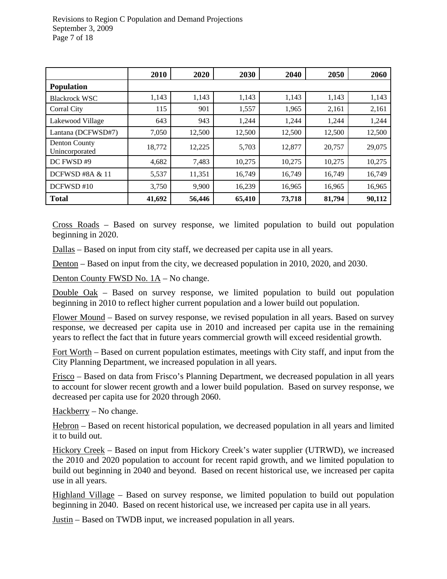|                                        | 2010   | 2020   | 2030   | 2040   | 2050   | 2060   |
|----------------------------------------|--------|--------|--------|--------|--------|--------|
| <b>Population</b>                      |        |        |        |        |        |        |
| <b>Blackrock WSC</b>                   | 1,143  | 1,143  | 1,143  | 1,143  | 1,143  | 1,143  |
| Corral City                            | 115    | 901    | 1,557  | 1,965  | 2,161  | 2,161  |
| Lakewood Village                       | 643    | 943    | 1,244  | 1,244  | 1,244  | 1,244  |
| Lantana (DCFWSD#7)                     | 7,050  | 12,500 | 12,500 | 12,500 | 12,500 | 12,500 |
| <b>Denton County</b><br>Unincorporated | 18,772 | 12,225 | 5,703  | 12,877 | 20,757 | 29,075 |
| DC FWSD #9                             | 4,682  | 7,483  | 10,275 | 10,275 | 10,275 | 10,275 |
| <b>DCFWSD #8A &amp; 11</b>             | 5,537  | 11,351 | 16,749 | 16,749 | 16,749 | 16,749 |
| DCFWSD#10                              | 3,750  | 9,900  | 16,239 | 16,965 | 16,965 | 16,965 |
| <b>Total</b>                           | 41,692 | 56,446 | 65,410 | 73,718 | 81,794 | 90,112 |

Cross Roads – Based on survey response, we limited population to build out population beginning in 2020.

Dallas – Based on input from city staff, we decreased per capita use in all years.

Denton – Based on input from the city, we decreased population in 2010, 2020, and 2030.

Denton County FWSD No. 1A – No change.

Double Oak – Based on survey response, we limited population to build out population beginning in 2010 to reflect higher current population and a lower build out population.

Flower Mound – Based on survey response, we revised population in all years. Based on survey response, we decreased per capita use in 2010 and increased per capita use in the remaining years to reflect the fact that in future years commercial growth will exceed residential growth.

Fort Worth – Based on current population estimates, meetings with City staff, and input from the City Planning Department, we increased population in all years.

Frisco – Based on data from Frisco's Planning Department, we decreased population in all years to account for slower recent growth and a lower build population. Based on survey response, we decreased per capita use for 2020 through 2060.

Hackberry – No change.

Hebron – Based on recent historical population, we decreased population in all years and limited it to build out.

Hickory Creek – Based on input from Hickory Creek's water supplier (UTRWD), we increased the 2010 and 2020 population to account for recent rapid growth, and we limited population to build out beginning in 2040 and beyond. Based on recent historical use, we increased per capita use in all years.

Highland Village – Based on survey response, we limited population to build out population beginning in 2040. Based on recent historical use, we increased per capita use in all years.

Justin – Based on TWDB input, we increased population in all years.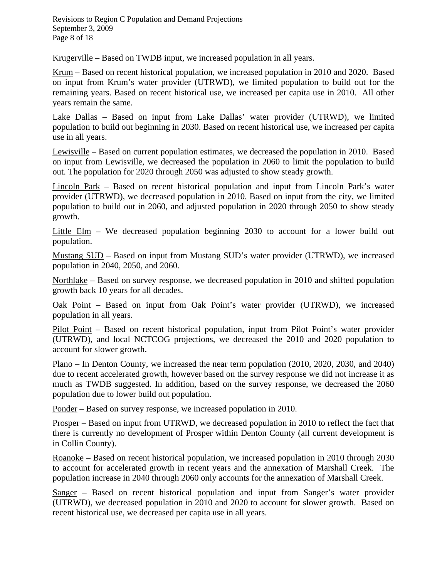Revisions to Region C Population and Demand Projections September 3, 2009 Page 8 of 18

Krugerville – Based on TWDB input, we increased population in all years.

Krum – Based on recent historical population, we increased population in 2010 and 2020. Based on input from Krum's water provider (UTRWD), we limited population to build out for the remaining years. Based on recent historical use, we increased per capita use in 2010. All other years remain the same.

Lake Dallas – Based on input from Lake Dallas' water provider (UTRWD), we limited population to build out beginning in 2030. Based on recent historical use, we increased per capita use in all years.

Lewisville – Based on current population estimates, we decreased the population in 2010. Based on input from Lewisville, we decreased the population in 2060 to limit the population to build out. The population for 2020 through 2050 was adjusted to show steady growth.

Lincoln Park – Based on recent historical population and input from Lincoln Park's water provider (UTRWD), we decreased population in 2010. Based on input from the city, we limited population to build out in 2060, and adjusted population in 2020 through 2050 to show steady growth.

Little Elm – We decreased population beginning 2030 to account for a lower build out population.

Mustang SUD – Based on input from Mustang SUD's water provider (UTRWD), we increased population in 2040, 2050, and 2060.

Northlake – Based on survey response, we decreased population in 2010 and shifted population growth back 10 years for all decades.

Oak Point – Based on input from Oak Point's water provider (UTRWD), we increased population in all years.

Pilot Point – Based on recent historical population, input from Pilot Point's water provider (UTRWD), and local NCTCOG projections, we decreased the 2010 and 2020 population to account for slower growth.

Plano – In Denton County, we increased the near term population (2010, 2020, 2030, and 2040) due to recent accelerated growth, however based on the survey response we did not increase it as much as TWDB suggested. In addition, based on the survey response, we decreased the 2060 population due to lower build out population.

Ponder – Based on survey response, we increased population in 2010.

Prosper – Based on input from UTRWD, we decreased population in 2010 to reflect the fact that there is currently no development of Prosper within Denton County (all current development is in Collin County).

Roanoke – Based on recent historical population, we increased population in 2010 through 2030 to account for accelerated growth in recent years and the annexation of Marshall Creek. The population increase in 2040 through 2060 only accounts for the annexation of Marshall Creek.

Sanger – Based on recent historical population and input from Sanger's water provider (UTRWD), we decreased population in 2010 and 2020 to account for slower growth. Based on recent historical use, we decreased per capita use in all years.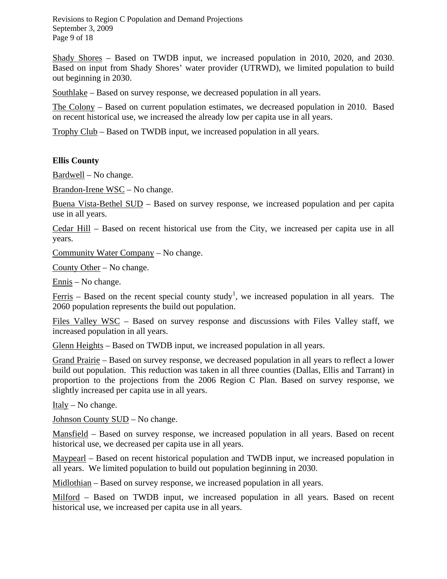Revisions to Region C Population and Demand Projections September 3, 2009 Page 9 of 18

Shady Shores – Based on TWDB input, we increased population in 2010, 2020, and 2030. Based on input from Shady Shores' water provider (UTRWD), we limited population to build out beginning in 2030.

Southlake – Based on survey response, we decreased population in all years.

The Colony – Based on current population estimates, we decreased population in 2010. Based on recent historical use, we increased the already low per capita use in all years.

Trophy Club – Based on TWDB input, we increased population in all years.

#### **Ellis County**

Bardwell – No change.

Brandon-Irene WSC – No change.

Buena Vista-Bethel SUD – Based on survey response, we increased population and per capita use in all years.

Cedar Hill – Based on recent historical use from the City, we increased per capita use in all years.

Community Water Company – No change.

County Other – No change.

Ennis – No change.

Ferris – Based on the recent special county study<sup>1</sup>, we increased population in all years. The 2060 population represents the build out population.

Files Valley WSC – Based on survey response and discussions with Files Valley staff, we increased population in all years.

Glenn Heights – Based on TWDB input, we increased population in all years.

Grand Prairie – Based on survey response, we decreased population in all years to reflect a lower build out population. This reduction was taken in all three counties (Dallas, Ellis and Tarrant) in proportion to the projections from the 2006 Region C Plan. Based on survey response, we slightly increased per capita use in all years.

Italy – No change.

Johnson County SUD – No change.

Mansfield – Based on survey response, we increased population in all years. Based on recent historical use, we decreased per capita use in all years.

Maypearl – Based on recent historical population and TWDB input, we increased population in all years. We limited population to build out population beginning in 2030.

Midlothian – Based on survey response, we increased population in all years.

Milford – Based on TWDB input, we increased population in all years. Based on recent historical use, we increased per capita use in all years.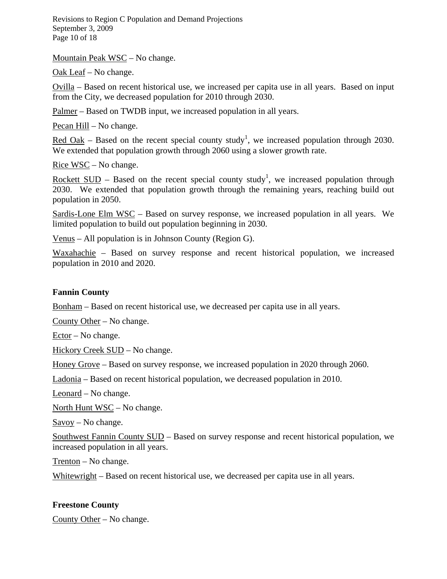Revisions to Region C Population and Demand Projections September 3, 2009 Page 10 of 18

Mountain Peak WSC – No change.

Oak Leaf – No change.

Ovilla – Based on recent historical use, we increased per capita use in all years. Based on input from the City, we decreased population for 2010 through 2030.

Palmer – Based on TWDB input, we increased population in all years.

Pecan Hill – No change.

Red Oak – Based on the recent special county study<sup>1</sup>, we increased population through 2030. We extended that population growth through 2060 using a slower growth rate.

Rice WSC – No change.

Rockett  $\text{SUB}$  – Based on the recent special county study<sup>1</sup>, we increased population through 2030. We extended that population growth through the remaining years, reaching build out population in 2050.

Sardis-Lone Elm WSC – Based on survey response, we increased population in all years. We limited population to build out population beginning in 2030.

Venus – All population is in Johnson County (Region G).

Waxahachie – Based on survey response and recent historical population, we increased population in 2010 and 2020.

#### **Fannin County**

Bonham – Based on recent historical use, we decreased per capita use in all years.

County Other – No change.

Ector – No change.

Hickory Creek SUD – No change.

Honey Grove – Based on survey response, we increased population in 2020 through 2060.

Ladonia – Based on recent historical population, we decreased population in 2010.

Leonard – No change.

North Hunt WSC – No change.

Savoy – No change.

Southwest Fannin County SUD – Based on survey response and recent historical population, we increased population in all years.

Trenton – No change.

Whitewright – Based on recent historical use, we decreased per capita use in all years.

#### **Freestone County**

County Other – No change.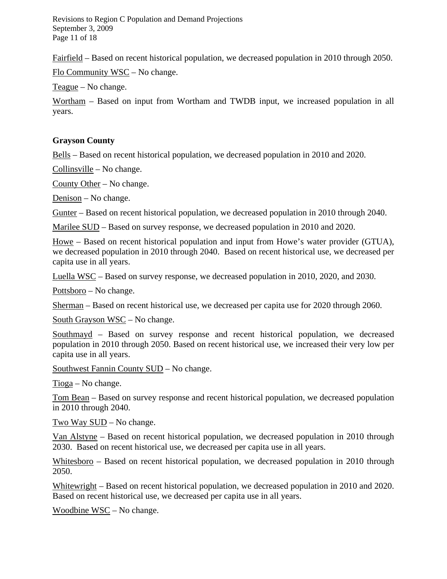Revisions to Region C Population and Demand Projections September 3, 2009 Page 11 of 18

Fairfield – Based on recent historical population, we decreased population in 2010 through 2050. Flo Community WSC – No change.

Teague – No change.

Wortham – Based on input from Wortham and TWDB input, we increased population in all years.

#### **Grayson County**

Bells – Based on recent historical population, we decreased population in 2010 and 2020.

Collinsville – No change.

County Other – No change.

Denison – No change.

Gunter – Based on recent historical population, we decreased population in 2010 through 2040.

Marilee SUD – Based on survey response, we decreased population in 2010 and 2020.

Howe – Based on recent historical population and input from Howe's water provider (GTUA), we decreased population in 2010 through 2040. Based on recent historical use, we decreased per capita use in all years.

Luella WSC – Based on survey response, we decreased population in 2010, 2020, and 2030.

Pottsboro – No change.

Sherman – Based on recent historical use, we decreased per capita use for 2020 through 2060.

South Grayson WSC – No change.

Southmayd – Based on survey response and recent historical population, we decreased population in 2010 through 2050. Based on recent historical use, we increased their very low per capita use in all years.

Southwest Fannin County SUD – No change.

Tioga – No change.

Tom Bean – Based on survey response and recent historical population, we decreased population in 2010 through 2040.

Two Way SUD – No change.

Van Alstyne – Based on recent historical population, we decreased population in 2010 through 2030. Based on recent historical use, we decreased per capita use in all years.

Whitesboro – Based on recent historical population, we decreased population in 2010 through 2050.

Whitewright – Based on recent historical population, we decreased population in 2010 and 2020. Based on recent historical use, we decreased per capita use in all years.

Woodbine WSC – No change.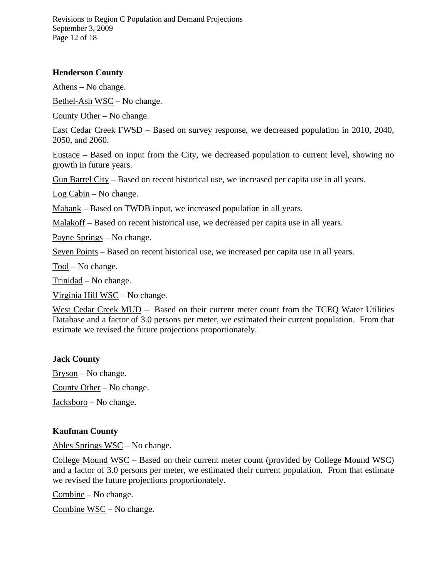Revisions to Region C Population and Demand Projections September 3, 2009 Page 12 of 18

## **Henderson County**

Athens – No change.

Bethel-Ash WSC – No change.

County Other – No change.

East Cedar Creek FWSD – Based on survey response, we decreased population in 2010, 2040, 2050, and 2060.

Eustace – Based on input from the City, we decreased population to current level, showing no growth in future years.

Gun Barrel City – Based on recent historical use, we increased per capita use in all years.

Log Cabin – No change.

Mabank – Based on TWDB input, we increased population in all years.

Malakoff – Based on recent historical use, we decreased per capita use in all years.

Payne Springs – No change.

Seven Points – Based on recent historical use, we increased per capita use in all years.

Tool – No change.

Trinidad – No change.

Virginia Hill WSC – No change.

West Cedar Creek MUD - Based on their current meter count from the TCEQ Water Utilities Database and a factor of 3.0 persons per meter, we estimated their current population. From that estimate we revised the future projections proportionately.

#### **Jack County**

Bryson – No change.

County Other – No change.

Jacksboro – No change.

#### **Kaufman County**

Ables Springs WSC – No change.

College Mound WSC – Based on their current meter count (provided by College Mound WSC) and a factor of 3.0 persons per meter, we estimated their current population. From that estimate we revised the future projections proportionately.

Combine – No change.

Combine WSC – No change.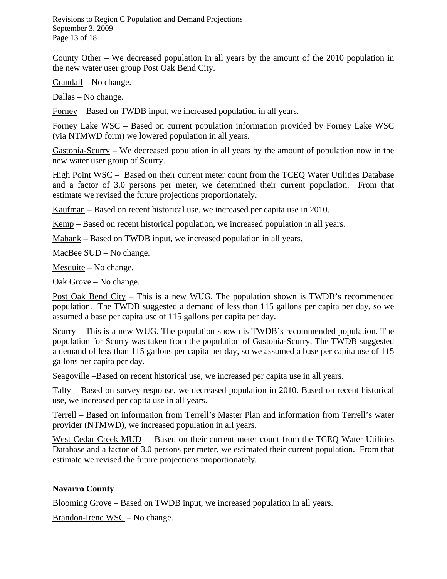Revisions to Region C Population and Demand Projections September 3, 2009 Page 13 of 18

County Other – We decreased population in all years by the amount of the 2010 population in the new water user group Post Oak Bend City.

Crandall – No change.

Dallas – No change.

Forney – Based on TWDB input, we increased population in all years.

Forney Lake WSC – Based on current population information provided by Forney Lake WSC (via NTMWD form) we lowered population in all years.

Gastonia-Scurry – We decreased population in all years by the amount of population now in the new water user group of Scurry.

High Point WSC – Based on their current meter count from the TCEQ Water Utilities Database and a factor of 3.0 persons per meter, we determined their current population. From that estimate we revised the future projections proportionately.

Kaufman – Based on recent historical use, we increased per capita use in 2010.

Kemp – Based on recent historical population, we increased population in all years.

Mabank – Based on TWDB input, we increased population in all years.

MacBee SUD – No change.

Mesquite – No change.

Oak Grove – No change.

Post Oak Bend City – This is a new WUG. The population shown is TWDB's recommended population. The TWDB suggested a demand of less than 115 gallons per capita per day, so we assumed a base per capita use of 115 gallons per capita per day.

Scurry – This is a new WUG. The population shown is TWDB's recommended population. The population for Scurry was taken from the population of Gastonia-Scurry. The TWDB suggested a demand of less than 115 gallons per capita per day, so we assumed a base per capita use of 115 gallons per capita per day.

Seagoville –Based on recent historical use, we increased per capita use in all years.

Talty – Based on survey response, we decreased population in 2010. Based on recent historical use, we increased per capita use in all years.

Terrell – Based on information from Terrell's Master Plan and information from Terrell's water provider (NTMWD), we increased population in all years.

West Cedar Creek MUD – Based on their current meter count from the TCEQ Water Utilities Database and a factor of 3.0 persons per meter, we estimated their current population. From that estimate we revised the future projections proportionately.

# **Navarro County**

Blooming Grove – Based on TWDB input, we increased population in all years.

Brandon-Irene WSC – No change.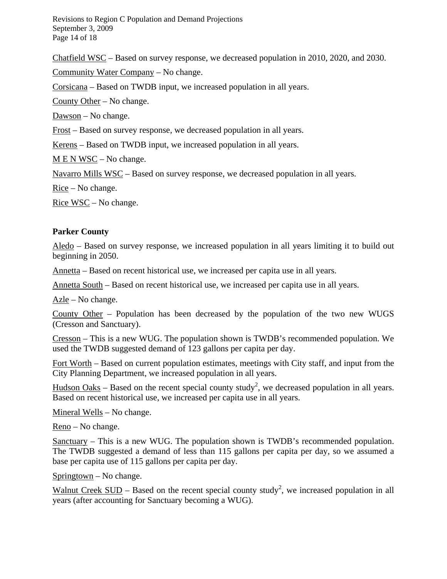Revisions to Region C Population and Demand Projections September 3, 2009 Page 14 of 18

Chatfield WSC – Based on survey response, we decreased population in 2010, 2020, and 2030.

Community Water Company – No change.

Corsicana – Based on TWDB input, we increased population in all years.

County Other – No change.

Dawson – No change.

Frost – Based on survey response, we decreased population in all years.

Kerens – Based on TWDB input, we increased population in all years.

M E N WSC – No change.

Navarro Mills WSC – Based on survey response, we decreased population in all years.

Rice – No change.

Rice WSC – No change.

#### **Parker County**

Aledo – Based on survey response, we increased population in all years limiting it to build out beginning in 2050.

Annetta – Based on recent historical use, we increased per capita use in all years.

Annetta South – Based on recent historical use, we increased per capita use in all years.

Azle – No change.

County Other – Population has been decreased by the population of the two new WUGS (Cresson and Sanctuary).

Cresson – This is a new WUG. The population shown is TWDB's recommended population. We used the TWDB suggested demand of 123 gallons per capita per day.

Fort Worth – Based on current population estimates, meetings with City staff, and input from the City Planning Department, we increased population in all years.

Hudson Oaks – Based on the recent special county study<sup>2</sup>, we decreased population in all years. Based on recent historical use, we increased per capita use in all years.

Mineral Wells – No change.

Reno – No change.

Sanctuary – This is a new WUG. The population shown is TWDB's recommended population. The TWDB suggested a demand of less than 115 gallons per capita per day, so we assumed a base per capita use of 115 gallons per capita per day.

 $Springtown - No change.$ 

Walnut Creek SUD – Based on the recent special county study<sup>2</sup>, we increased population in all years (after accounting for Sanctuary becoming a WUG).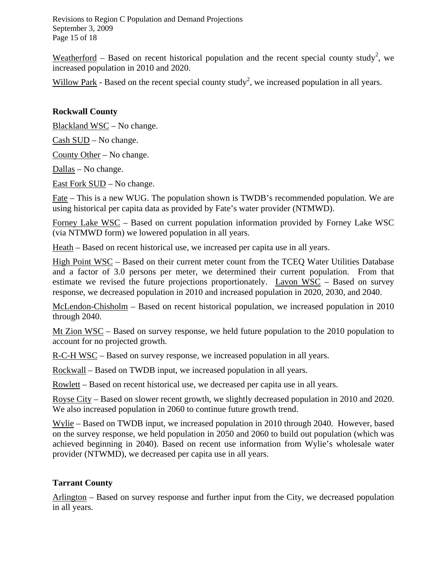Revisions to Region C Population and Demand Projections September 3, 2009 Page 15 of 18

Weatherford – Based on recent historical population and the recent special county study<sup>2</sup>, we increased population in 2010 and 2020.

Willow Park - Based on the recent special county study<sup>2</sup>, we increased population in all years.

## **Rockwall County**

Blackland WSC – No change.

Cash SUD – No change.

County Other – No change.

Dallas – No change.

East Fork SUD – No change.

Fate – This is a new WUG. The population shown is TWDB's recommended population. We are using historical per capita data as provided by Fate's water provider (NTMWD).

Forney Lake WSC – Based on current population information provided by Forney Lake WSC (via NTMWD form) we lowered population in all years.

Heath – Based on recent historical use, we increased per capita use in all years.

High Point WSC – Based on their current meter count from the TCEQ Water Utilities Database and a factor of 3.0 persons per meter, we determined their current population. From that estimate we revised the future projections proportionately. Lavon WSC – Based on survey response, we decreased population in 2010 and increased population in 2020, 2030, and 2040.

McLendon-Chisholm – Based on recent historical population, we increased population in 2010 through 2040.

Mt Zion WSC – Based on survey response, we held future population to the 2010 population to account for no projected growth.

R-C-H WSC – Based on survey response, we increased population in all years.

Rockwall – Based on TWDB input, we increased population in all years.

Rowlett – Based on recent historical use, we decreased per capita use in all years.

Royse City – Based on slower recent growth, we slightly decreased population in 2010 and 2020. We also increased population in 2060 to continue future growth trend.

Wylie – Based on TWDB input, we increased population in 2010 through 2040. However, based on the survey response, we held population in 2050 and 2060 to build out population (which was achieved beginning in 2040). Based on recent use information from Wylie's wholesale water provider (NTWMD), we decreased per capita use in all years.

#### **Tarrant County**

Arlington – Based on survey response and further input from the City, we decreased population in all years.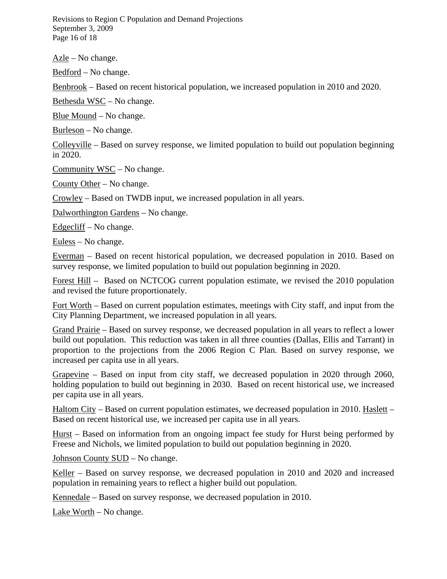Revisions to Region C Population and Demand Projections September 3, 2009 Page 16 of 18

 $Azle$  – No change.

Bedford – No change.

Benbrook – Based on recent historical population, we increased population in 2010 and 2020.

Bethesda WSC – No change.

Blue Mound – No change.

Burleson – No change.

Colleyville – Based on survey response, we limited population to build out population beginning in 2020.

Community WSC – No change.

County Other – No change.

Crowley – Based on TWDB input, we increased population in all years.

Dalworthington Gardens – No change.

 $E$ dgecliff – No change.

Euless – No change.

Everman – Based on recent historical population, we decreased population in 2010. Based on survey response, we limited population to build out population beginning in 2020.

Forest Hill – Based on NCTCOG current population estimate, we revised the 2010 population and revised the future proportionately.

Fort Worth – Based on current population estimates, meetings with City staff, and input from the City Planning Department, we increased population in all years.

Grand Prairie – Based on survey response, we decreased population in all years to reflect a lower build out population. This reduction was taken in all three counties (Dallas, Ellis and Tarrant) in proportion to the projections from the 2006 Region C Plan. Based on survey response, we increased per capita use in all years.

Grapevine – Based on input from city staff, we decreased population in 2020 through 2060, holding population to build out beginning in 2030. Based on recent historical use, we increased per capita use in all years.

Haltom City – Based on current population estimates, we decreased population in 2010. Haslett – Based on recent historical use, we increased per capita use in all years.

Hurst – Based on information from an ongoing impact fee study for Hurst being performed by Freese and Nichols, we limited population to build out population beginning in 2020.

Johnson County SUD – No change.

Keller – Based on survey response, we decreased population in 2010 and 2020 and increased population in remaining years to reflect a higher build out population.

Kennedale – Based on survey response, we decreased population in 2010.

Lake Worth  $-$  No change.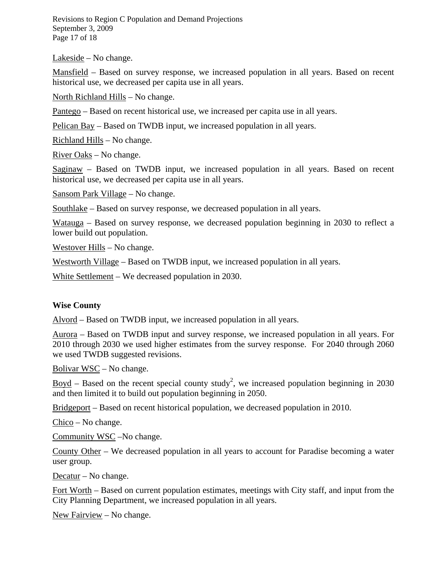Revisions to Region C Population and Demand Projections September 3, 2009 Page 17 of 18

 $Lakeside - No change.$ 

Mansfield – Based on survey response, we increased population in all years. Based on recent historical use, we decreased per capita use in all years.

North Richland Hills – No change.

Pantego – Based on recent historical use, we increased per capita use in all years.

Pelican Bay – Based on TWDB input, we increased population in all years.

Richland Hills – No change.

River Oaks – No change.

Saginaw – Based on TWDB input, we increased population in all years. Based on recent historical use, we decreased per capita use in all years.

Sansom Park Village – No change.

Southlake – Based on survey response, we decreased population in all years.

Watauga – Based on survey response, we decreased population beginning in 2030 to reflect a lower build out population.

Westover Hills – No change.

Westworth Village – Based on TWDB input, we increased population in all years.

White Settlement – We decreased population in 2030.

#### **Wise County**

Alvord – Based on TWDB input, we increased population in all years.

Aurora – Based on TWDB input and survey response, we increased population in all years. For 2010 through 2030 we used higher estimates from the survey response. For 2040 through 2060 we used TWDB suggested revisions.

Bolivar  $WSC - No change.$ 

 $\overline{Boyd}$  – Based on the recent special county study<sup>2</sup>, we increased population beginning in 2030 and then limited it to build out population beginning in 2050.

Bridgeport – Based on recent historical population, we decreased population in 2010.

Chico – No change.

Community WSC –No change.

County Other – We decreased population in all years to account for Paradise becoming a water user group.

Decatur – No change.

Fort Worth – Based on current population estimates, meetings with City staff, and input from the City Planning Department, we increased population in all years.

New Fairview – No change.